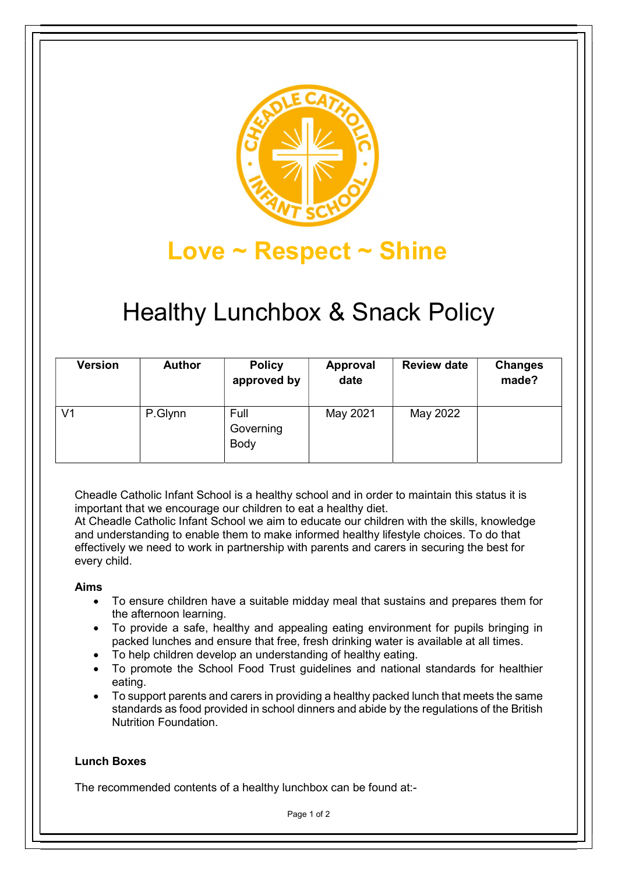

# Love ~ Respect ~ Shine

# Healthy Lunchbox & Snack Policy

| <b>Version</b> | <b>Author</b> | <b>Policy</b><br>approved by | Approval<br>date | <b>Review date</b> | <b>Changes</b><br>made? |
|----------------|---------------|------------------------------|------------------|--------------------|-------------------------|
| V <sub>1</sub> | P.Glynn       | Full<br>Governing<br>Body    | May 2021         | May 2022           |                         |

Cheadle Catholic Infant School is a healthy school and in order to maintain this status it is important that we encourage our children to eat a healthy diet.

At Cheadle Catholic Infant School we aim to educate our children with the skills, knowledge and understanding to enable them to make informed healthy lifestyle choices. To do that effectively we need to work in partnership with parents and carers in securing the best for every child.

## Aims

- To ensure children have a suitable midday meal that sustains and prepares them for the afternoon learning.
- To provide a safe, healthy and appealing eating environment for pupils bringing in packed lunches and ensure that free, fresh drinking water is available at all times.
- To help children develop an understanding of healthy eating.
- To promote the School Food Trust guidelines and national standards for healthier eating.
- To support parents and carers in providing a healthy packed lunch that meets the same standards as food provided in school dinners and abide by the regulations of the British Nutrition Foundation.

## Lunch Boxes

The recommended contents of a healthy lunchbox can be found at:-

Page 1 of 2